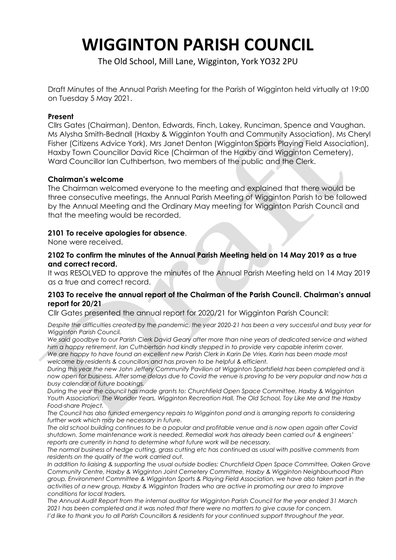# **WIGGINTON PARISH COUNCIL**

The Old School, Mill Lane, Wigginton, York YO32 2PU

Draft Minutes of the Annual Parish Meeting for the Parish of Wigginton held virtually at 19:00 on Tuesday 5 May 2021.

# **Present**

Cllrs Gates (Chairman), Denton, Edwards, Finch, Lakey, Runciman, Spence and Vaughan. Ms Alysha Smith-Bednall (Haxby & Wigginton Youth and Community Association), Ms Cheryl Fisher (Citizens Advice York), Mrs Janet Denton (Wigginton Sports Playing Field Association), Haxby Town Councillor David Rice (Chairman of the Haxby and Wigginton Cemetery), Ward Councillor Ian Cuthbertson, two members of the public and the Clerk.

# **Chairman's welcome**

The Chairman welcomed everyone to the meeting and explained that there would be three consecutive meetings, the Annual Parish Meeting of Wigginton Parish to be followed by the Annual Meeting and the Ordinary May meeting for Wigginton Parish Council and that the meeting would be recorded.

#### **2101 To receive apologies for absence**.

None were received.

# **2102 To confirm the minutes of the Annual Parish Meeting held on 14 May 2019 as a true and correct record.**

It was RESOLVED to approve the minutes of the Annual Parish Meeting held on 14 May 2019 as a true and correct record.

# **2103 To receive the annual report of the Chairman of the Parish Council. Chairman's annual report for 20/21**

Cllr Gates presented the annual report for 2020/21 for Wigginton Parish Council:

*Despite the difficulties created by the pandemic, the year 2020-21 has been a very successful and busy year for Wigginton Parish Council.*

*We said goodbye to our Parish Clerk David Geary after more than nine years of dedicated service and wished him a happy retirement. Ian Cuthbertson had kindly stepped in to provide very capable interim cover. We are happy to have found an excellent new Parish Clerk in Karin De Vries. Karin has been made most* 

*welcome by residents & councillors and has proven to be helpful & efficient. During this year the new John Jeffery Community Pavilion at Wigginton Sportsfield has been completed and is now open for business. After some delays due to Covid the venue is proving to be very popular and now has a busy calendar of future bookings.*

*During the year the council has made grants to: Churchfield Open Space Committee, Haxby & Wigginton Youth Association, The Wonder Years, Wigginton Recreation Hall, The Old School, Toy Like Me and the Haxby Food-share Project.*

*The Council has also funded emergency repairs to Wigginton pond and is arranging reports to considering further work which may be necessary in future.*

*The old school building continues to be a popular and profitable venue and is now open again after Covid shutdown. Some maintenance work is needed. Remedial work has already been carried out & engineers' reports are currently in hand to determine what future work will be necessary.*

*The normal business of hedge cutting, grass cutting etc has continued as usual with positive comments from residents on the quality of the work carried out.*

*In addition to liaising & supporting the usual outside bodies: Churchfield Open Space Committee, Oaken Grove Community Centre, Haxby & Wigginton Joint Cemetery Committee, Haxby & Wigginton Neighbourhood Plan group, Environment Committee & Wigginton Sports & Playing Field Association, we have also taken part in the activities of a new group, Haxby & Wigginton Traders who are active in promoting our area to improve conditions for local traders.* 

*The Annual Audit Report from the internal auditor for Wigginton Parish Council for the year ended 31 March 2021 has been completed and it was noted that there were no matters to give cause for concern. I'd like to thank you to all Parish Councillors & residents for your continued support throughout the year.*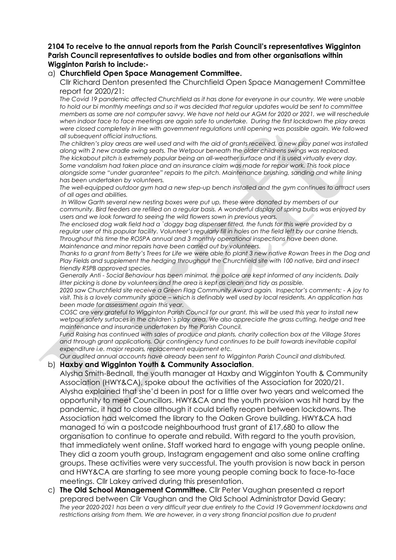## **2104 To receive to the annual reports from the Parish Council's representatives Wigginton Parish Council representatives to outside bodies and from other organisations within Wigginton Parish to include:-**

## a) **Churchfield Open Space Management Committee.**

Cllr Richard Denton presented the Churchfield Open Space Management Committee report for 2020/21:

*The Covid 19 pandemic affected Churchfield as it has done for everyone in our country. We were unable to hold our bi monthly meetings and so it was decided that regular updates would be sent to committee members as some are not computer savvy. We have not held our AGM for 2020 or 2021, we will reschedule when indoor face to face meetings are again safe to undertake. During the first lockdown the play areas were closed completely in line with government regulations until opening was possible again. We followed all subsequent official instructions.*

*The children's play areas are well used and with the aid of grants received, a new play panel was installed along with 2 new cradle swing seats. The Wetpour beneath the older childrens swings was replaced. The kickabout pitch is extremely popular being an all-weather surface and it is used virtually every day. Some vandalism had taken place and an insurance claim was made for repair work. This took place alongside some "under guarantee" repairs to the pitch. Maintenance brushing, sanding and white lining has been undertaken by volunteers.*

*The well-equipped outdoor gym had a new step-up bench installed and the gym continues to attract users of all ages and abilities.*

*In Willow Garth several new nesting boxes were put up, these were donated by members of our community. Bird feeders are refilled on a regular basis. A wonderful display of spring bulbs was enjoyed by users and we look forward to seeing the wild flowers sown in previous years.*

*The enclosed dog walk field had a `doggy bag dispenser fitted, the funds for this were provided by a regular user of this popular facility. Volunteer's regularly fill in holes on the field left by our canine friends. Throughout this time the ROSPA annual and 3 monthly operational inspections have been done. Maintenance and minor repairs have been carried out by volunteers.*

*Thanks to a grant from Betty's Trees for Life we were able to plant 3 new native Rowan Trees in the Dog and Play Fields and supplement the hedging throughout the Churchfield site with 100 native, bird and insect friendly RSPB approved species.*

*Generally Anti - Social Behaviour has been minimal, the police are kept informed of any incidents. Daily litter picking is done by volunteers and the area is kept as clean and tidy as possible.*

*2020 saw Churchfield site receive a Green Flag Community Award again. Inspector's comments: - A joy to visit. This is a lovely community space – which is definably well used by local residents. An application has been made for assessment again this year.*

*COSC are very grateful to Wigginton Parish Council for our grant, this will be used this year to install new wetpour safety surfaces in the children`s play area. We also appreciate the grass cutting, hedge and tree maintenance and insurance undertaken by the Parish Council.* 

*Fund Raising has continued with sales of produce and plants, charity collection box at the Village Stores and through grant applications. Our contingency fund continues to be built towards inevitable capital expenditure i.e. major repairs, replacement equipment etc.*

*Our audited annual accounts have already been sent to Wigginton Parish Council and distributed.*

#### b) **Haxby and Wigginton Youth & Community Association**.

Alysha Smith-Bednall, the youth manager at Haxby and Wigginton Youth & Community Association (HWY&CA), spoke about the activities of the Association for 2020/21. Alysha explained that she'd been in post for a little over two years and welcomed the opportunity to meet Councillors. HWY&CA and the youth provision was hit hard by the pandemic, it had to close although it could briefly reopen between lockdowns. The Association had welcomed the library to the Oaken Grove building. HWY&CA had managed to win a postcode neighbourhood trust grant of £17,680 to allow the organisation to continue to operate and rebuild. With regard to the youth provision, that immediately went online. Staff worked hard to engage with young people online. They did a zoom youth group, Instagram engagement and also some online crafting groups. These activities were very successful. The youth provision is now back in person and HWY&CA are starting to see more young people coming back to face-to-face meetings. Cllr Lakey arrived during this presentation.

c) **The Old School Management Committee.** Cllr Peter Vaughan presented a report prepared between Cllr Vaughan and the Old School Administrator David Geary: *The year 2020-2021 has been a very difficult year due entirely to the Covid 19 Government lockdowns and*  restrictions arising from them. We are however, in a very strong financial position due to prudent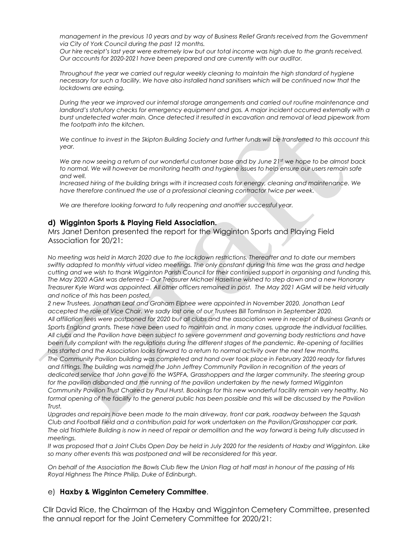*management in the previous 10 years and by way of Business Relief Grants received from the Government via City of York Council during the past 12 months.*

*Our hire receipt's last year were extremely low but our total income was high due to the grants received. Our accounts for 2020-2021 have been prepared and are currently with our auditor.*

*Throughout the year we carried out regular weekly cleaning to maintain the high standard of hygiene necessary for such a facility. We have also installed hand sanitisers which will be continued now that the lockdowns are easing.*

*During the year we improved our internal storage arrangements and carried out routine maintenance and landlord's statutory checks for emergency equipment and gas. A major incident occurred externally with a burst undetected water main. Once detected it resulted in excavation and removal of lead pipework from the footpath into the kitchen.*

*We continue to invest in the Skipton Building Society and further funds will be transferred to this account this year.*

*We are now seeing a return of our wonderful customer base and by June 21st we hope to be almost back to normal. We will however be monitoring health and hygiene issues to help ensure our users remain safe and well.*

*Increased hiring of the building brings with it increased costs for energy, cleaning and maintenance. We have therefore continued the use of a professional cleaning contractor twice per week.*

*We are therefore looking forward to fully reopening and another successful year.*

#### **d) Wigginton Sports & Playing Field Association.**

Mrs Janet Denton presented the report for the Wigginton Sports and Playing Field Association for 20/21:

*No meeting was held in March 2020 due to the lockdown restrictions. Thereafter and to date our members swiftly adapted to monthly virtual video meetings. The only constant during this time was the grass and hedge cutting and we wish to thank Wigginton Parish Council for their continued support in organising and funding this. The May 2020 AGM was deferred – Our Treasurer Michael Haseltine wished to step down and a new Honorary Treasurer Kyle Ward was appointed. All other officers remained in post. The May 2021 AGM will be held virtually and notice of this has been posted.*

*2 new Trustees, Jonathan Leaf and Graham Elphee were appointed in November 2020. Jonathan Leaf accepted the role of Vice Chair. We sadly lost one of our Trustees Bill Tomlinson in September 2020. All affiliation fees were postponed for 2020 but all clubs and the association were in receipt of Business Grants or Sports England grants. These have been used to maintain and, in many cases, upgrade the individual facilities. All clubs and the Pavilion have been subject to severe government and governing body restrictions and have been fully compliant with the regulations during the different stages of the pandemic. Re-opening of facilities has started and the Association looks forward to a return to normal activity over the next few months.*

*The Community Pavilion building was completed and hand over took place in February 2020 ready for fixtures*  and fittings. The building was named the John Jeffrey Community Pavilion in recognition of the years of *dedicated service that John gave to the WSPFA, Grasshoppers and the larger community. The steering group*  for the pavilion disbanded and the running of the pavilion undertaken by the newly formed Wigginton *Community Pavilion Trust Chaired by Paul Hurst. Bookings for this new wonderful facility remain very healthy. No*  formal opening of the facility to the general public has been possible and this will be discussed by the Pavilion *Trust.*

*Upgrades and repairs have been made to the main driveway, front car park, roadway between the Squash Club and Football Field and a contribution paid for work undertaken on the Pavilion/Grasshopper car park. The old Triathlete Building is now in need of repair or demolition and the way forward is being fully discussed in meetings.*

*It was proposed that a Joint Clubs Open Day be held in July 2020 for the residents of Haxby and Wigginton. Like so many other events this was postponed and will be reconsidered for this year.* 

*On behalf of the Association the Bowls Club flew the Union Flag at half mast in honour of the passing of His Royal Highness The Prince Philip, Duke of Edinburgh.*

#### e) **Haxby & Wigginton Cemetery Committee**.

Cllr David Rice, the Chairman of the Haxby and Wigginton Cemetery Committee, presented the annual report for the Joint Cemetery Committee for 2020/21: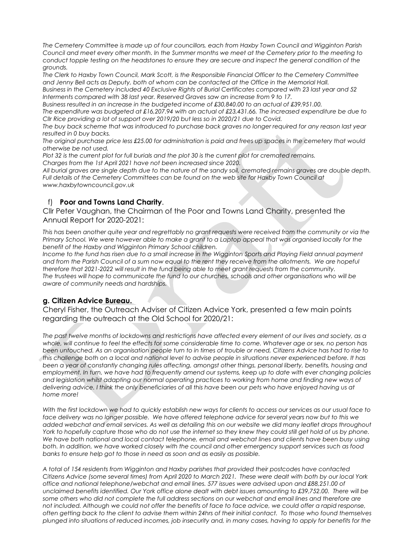*The Cemetery Committee is made up of four councillors, each from Haxby Town Council and Wigginton Parish Council and meet every other month. In the Summer months we meet at the Cemetery prior to the meeting to conduct topple testing on the headstones to ensure they are secure and inspect the general condition of the grounds.*

*The Clerk to Haxby Town Council, Mark Scott, is the Responsible Financial Officer to the Cemetery Committee and Jenny Bell acts as Deputy, both of whom can be contacted at the Office in the Memorial Hall.*

*Business in the Cemetery included 40 Exclusive Rights of Burial Certificates compared with 23 last year and 52 Interments compared with 38 last year. Reserved Graves saw an increase from 9 to 17.* 

*Business resulted in an increase in the budgeted income of £30,840.00 to an actual of £39,951.00.* 

*The expenditure was budgeted at £16,207.94 with an actual of £23,431.66. The increased expenditure be due to Cllr Rice providing a lot of support over 2019/20 but less so in 2020/21 due to Covid.*

*The buy back scheme that was introduced to purchase back graves no longer required for any reason last year resulted in 0 buy backs.* 

*The original purchase price less £25.00 for administration is paid and frees up spaces in the cemetery that would otherwise be not used.* 

*Plot 32 is the current plot for full burials and the plot 30 is the current plot for cremated remains.* 

*Charges from the 1st April 2021 have not been increased since 2020.*

*All burial graves are single depth due to the nature of the sandy soil, cremated remains graves are double depth. Full details of the Cemetery Committees can be found on the web site for Haxby Town Council at www.haxbytowncouncil.gov.uk*

# f) **Poor and Towns Land Charity**.

Cllr Peter Vaughan, the Chairman of the Poor and Towns Land Charity, presented the Annual Report for 2020-2021:

*This has been another quite year and regrettably no grant requests were received from the community or via the Primary School. We were however able to make a grant to a Laptop appeal that was organised locally for the benefit of the Haxby and Wigginton Primary School children.*

*Income to the fund has risen due to a small increase in the Wigginton Sports and Playing Field annual payment*  and from the Parish Council of a sum now equal to the rent they receive from the allotments. We are hopeful *therefore that 2021-2022 will result in the fund being able to meet grant requests from the community. The trustees will hope to communicate the fund to our churches, schools and other organisations who will be aware of community needs and hardships.*

#### **g. Citizen Advice Bureau.**

Cheryl Fisher, the Outreach Adviser of Citizen Advice York, presented a few main points regarding the outreach at the Old School for 2020/21:

*The past twelve months of lockdowns and restrictions have affected every element of our lives and society, as a whole, will continue to feel the effects for some considerable time to come. Whatever age or sex, no person has*  been untouched. As an organisation people turn to in times of trouble or need, Citizens Advice has had to rise to *this challenge both on a local and national level to advise people in situations never experienced before. It has been a year of constantly changing rules affecting, amongst other things, personal liberty, benefits, housing and employment. In turn, we have had to frequently amend our systems, keep up to date with ever changing policies and legislation whilst adapting our normal operating practices to working from home and finding new ways of delivering advice. I think the only beneficiaries of all this have been our pets who have enjoyed having us at home more!*

*With the first lockdown we had to quickly establish new ways for clients to access our services as our usual face to*  face delivery was no longer possible. We have offered telephone advice for several years now but to this we *added webchat and email services. As well as detailing this on our website we did many leaflet drops throughout York to hopefully capture those who do not use the internet so they knew they could still get hold of us by phone. We have both national and local contact telephone, email and webchat lines and clients have been busy using both. In addition, we have worked closely with the council and other emergency support services such as food banks to ensure help got to those in need as soon and as easily as possible.*

*A total of 154 residents from Wigginton and Haxby parishes that provided their postcodes have contacted Citizens Advice (some several times) from April 2020 to March 2021. These were dealt with both by our local York office and national telephone/webchat and email lines. 577 issues were advised upon and £88,251.00 of unclaimed benefits identified. Our York office alone dealt with debt issues amounting to £39,752.00. There will be some others who did not complete the full address sections on our webchat and email lines and therefore are*  not included. Although we could not offer the benefits of face to face advice, we could offer a rapid response, *often getting back to the client to advise them within 24hrs of their initial contact. To those who found themselves plunged into situations of reduced incomes, job insecurity and, in many cases, having to apply for benefits for the*